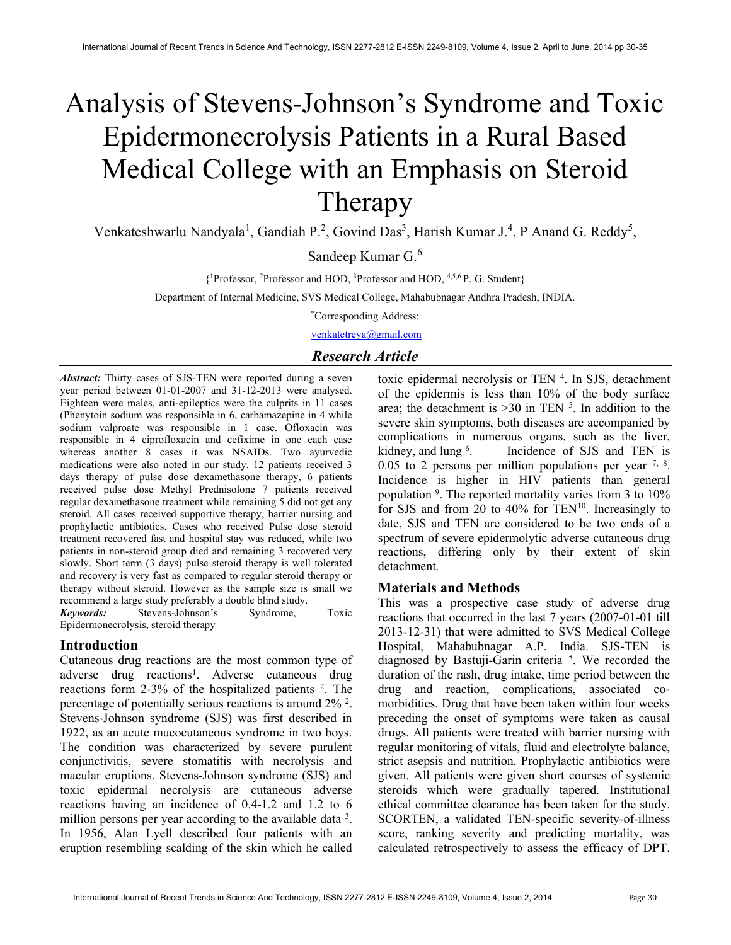# Analysis of Stevens-Johnson's Syndrome and Toxic Epidermonecrolysis Patients in a Rural Based Medical College with an Emphasis on Steroid Therapy

Venkateshwarlu Nandyala<sup>1</sup>, Gandiah P.<sup>2</sup>, Govind Das<sup>3</sup>, Harish Kumar J.<sup>4</sup>, P Anand G. Reddy<sup>5</sup>,

Sandeep Kumar G.<sup>6</sup>

{ <sup>1</sup>Professor, <sup>2</sup>Professor and HOD, <sup>3</sup>Professor and HOD, 4,5,6 P. G. Student}

Department of Internal Medicine, SVS Medical College, Mahabubnagar Andhra Pradesh, INDIA.

\*Corresponding Address:

venkatetreya@gmail.com

# Research Article

Abstract: Thirty cases of SJS-TEN were reported during a seven year period between 01-01-2007 and 31-12-2013 were analysed. Eighteen were males, anti-epileptics were the culprits in 11 cases (Phenytoin sodium was responsible in 6, carbamazepine in 4 while sodium valproate was responsible in 1 case. Ofloxacin was responsible in 4 ciprofloxacin and cefixime in one each case whereas another 8 cases it was NSAIDs. Two ayurvedic medications were also noted in our study. 12 patients received 3 days therapy of pulse dose dexamethasone therapy, 6 patients received pulse dose Methyl Prednisolone 7 patients received regular dexamethasone treatment while remaining 5 did not get any steroid. All cases received supportive therapy, barrier nursing and prophylactic antibiotics. Cases who received Pulse dose steroid treatment recovered fast and hospital stay was reduced, while two patients in non-steroid group died and remaining 3 recovered very slowly. Short term (3 days) pulse steroid therapy is well tolerated and recovery is very fast as compared to regular steroid therapy or therapy without steroid. However as the sample size is small we recommend a large study preferably a double blind study.

Keywords: Stevens-Johnson's Syndrome, Toxic Epidermonecrolysis, steroid therapy

# Introduction

Cutaneous drug reactions are the most common type of adverse drug reactions<sup>1</sup>. Adverse cutaneous drug reactions form 2-3% of the hospitalized patients  $2$ . The percentage of potentially serious reactions is around 2% <sup>2</sup>. Stevens-Johnson syndrome (SJS) was first described in 1922, as an acute mucocutaneous syndrome in two boys. The condition was characterized by severe purulent conjunctivitis, severe stomatitis with necrolysis and macular eruptions. Stevens-Johnson syndrome (SJS) and toxic epidermal necrolysis are cutaneous adverse reactions having an incidence of 0.4-1.2 and 1.2 to 6 million persons per year according to the available data<sup>3</sup>. In 1956, Alan Lyell described four patients with an eruption resembling scalding of the skin which he called

toxic epidermal necrolysis or TEN <sup>4</sup>. In SJS, detachment of the epidermis is less than 10% of the body surface area; the detachment is  $>30$  in TEN  $<sup>5</sup>$ . In addition to the</sup> severe skin symptoms, both diseases are accompanied by complications in numerous organs, such as the liver, kidney, and lung <sup>6</sup>. . Incidence of SJS and TEN is 0.05 to 2 persons per million populations per year  $7, 8$ . Incidence is higher in HIV patients than general population <sup>9</sup>. The reported mortality varies from 3 to 10% for SJS and from 20 to 40% for  $TEN^{10}$ . Increasingly to date, SJS and TEN are considered to be two ends of a spectrum of severe epidermolytic adverse cutaneous drug reactions, differing only by their extent of skin detachment.

# Materials and Methods

This was a prospective case study of adverse drug reactions that occurred in the last 7 years (2007-01-01 till 2013-12-31) that were admitted to SVS Medical College Hospital, Mahabubnagar A.P. India. SJS-TEN is diagnosed by Bastuji-Garin criteria<sup>5</sup>. We recorded the duration of the rash, drug intake, time period between the drug and reaction, complications, associated comorbidities. Drug that have been taken within four weeks preceding the onset of symptoms were taken as causal drugs. All patients were treated with barrier nursing with regular monitoring of vitals, fluid and electrolyte balance, strict asepsis and nutrition. Prophylactic antibiotics were given. All patients were given short courses of systemic steroids which were gradually tapered. Institutional ethical committee clearance has been taken for the study. SCORTEN, a validated TEN-specific severity-of-illness score, ranking severity and predicting mortality, was calculated retrospectively to assess the efficacy of DPT.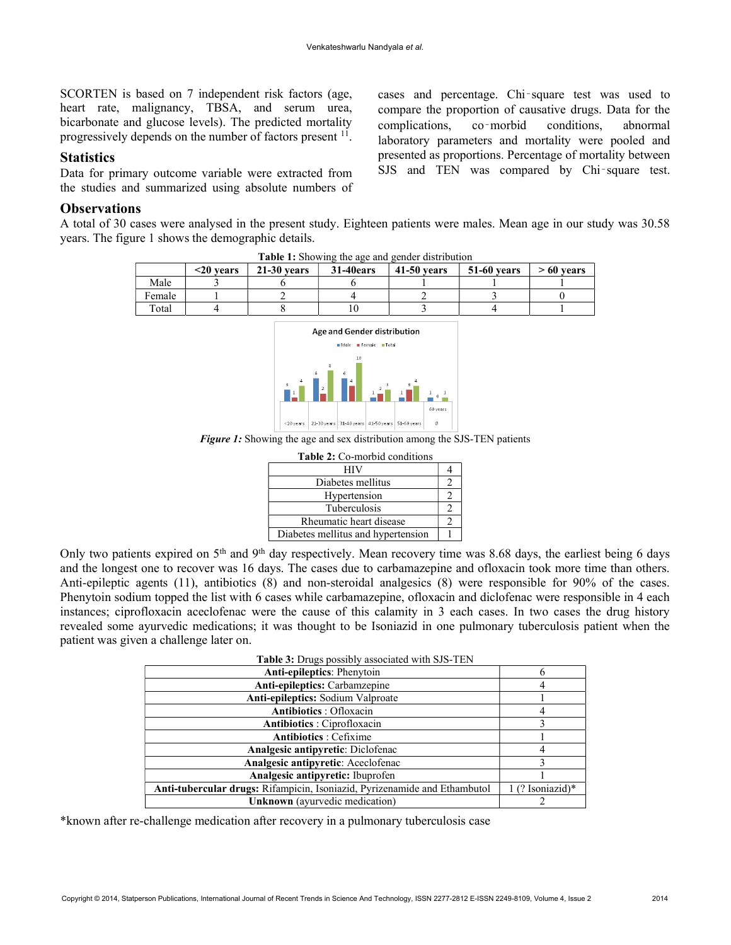SCORTEN is based on 7 independent risk factors (age, heart rate, malignancy, TBSA, and serum urea, bicarbonate and glucose levels). The predicted mortality progressively depends on the number of factors present <sup>11</sup>.

## **Statistics**

Data for primary outcome variable were extracted from the studies and summarized using absolute numbers of

## **Observations**

A total of 30 cases were analysed in the present study. Eighteen patients were males. Mean age in our study was 30.58 years. The figure 1 shows the demographic details.

| <b>31-40ears</b><br>$21-30$ vears | 41-50 years | 51-60 vears | $>60$ years |
|-----------------------------------|-------------|-------------|-------------|
|                                   |             |             |             |
|                                   |             |             |             |
|                                   |             |             |             |
|                                   |             |             |             |



Figure 1: Showing the age and sex distribution among the SJS-TEN patients

| <b>Table 2:</b> Co-morbid conditions |  |
|--------------------------------------|--|
| НIV                                  |  |
| Diabetes mellitus                    |  |
| Hypertension                         |  |
| <b>Tuberculosis</b>                  |  |
| Rheumatic heart disease              |  |
| Diabetes mellitus and hypertension   |  |

Only two patients expired on 5<sup>th</sup> and 9<sup>th</sup> day respectively. Mean recovery time was 8.68 days, the earliest being 6 days and the longest one to recover was 16 days. The cases due to carbamazepine and ofloxacin took more time than others. Anti-epileptic agents (11), antibiotics (8) and non-steroidal analgesics (8) were responsible for 90% of the cases. Phenytoin sodium topped the list with 6 cases while carbamazepine, ofloxacin and diclofenac were responsible in 4 each instances; ciprofloxacin aceclofenac were the cause of this calamity in 3 each cases. In two cases the drug history revealed some ayurvedic medications; it was thought to be Isoniazid in one pulmonary tuberculosis patient when the patient was given a challenge later on.

| $\ldots$                                                                         |                    |
|----------------------------------------------------------------------------------|--------------------|
| <b>Anti-epileptics: Phenytoin</b>                                                |                    |
| Anti-epileptics: Carbamzepine                                                    |                    |
| Anti-epileptics: Sodium Valproate                                                |                    |
| <b>Antibiotics</b> : Ofloxacin                                                   |                    |
| Antibiotics : Ciprofloxacin                                                      |                    |
| <b>Antibiotics</b> : Cefixime                                                    |                    |
| <b>Analgesic antipyretic:</b> Diclofenac                                         |                    |
| Analgesic antipyretic: Aceclofenac                                               |                    |
| Analgesic antipyretic: Ibuprofen                                                 |                    |
| <b>Anti-tubercular drugs:</b> Rifampicin, Isoniazid, Pyrizenamide and Ethambutol | $1$ (? Isoniazid)* |
| <b>Unknown</b> (ayurvedic medication)                                            |                    |

\*known after re-challenge medication after recovery in a pulmonary tuberculosis case

cases and percentage. Chi‑square test was used to compare the proportion of causative drugs. Data for the complications, co‑morbid conditions, abnormal laboratory parameters and mortality were pooled and presented as proportions. Percentage of mortality between SJS and TEN was compared by Chi-square test.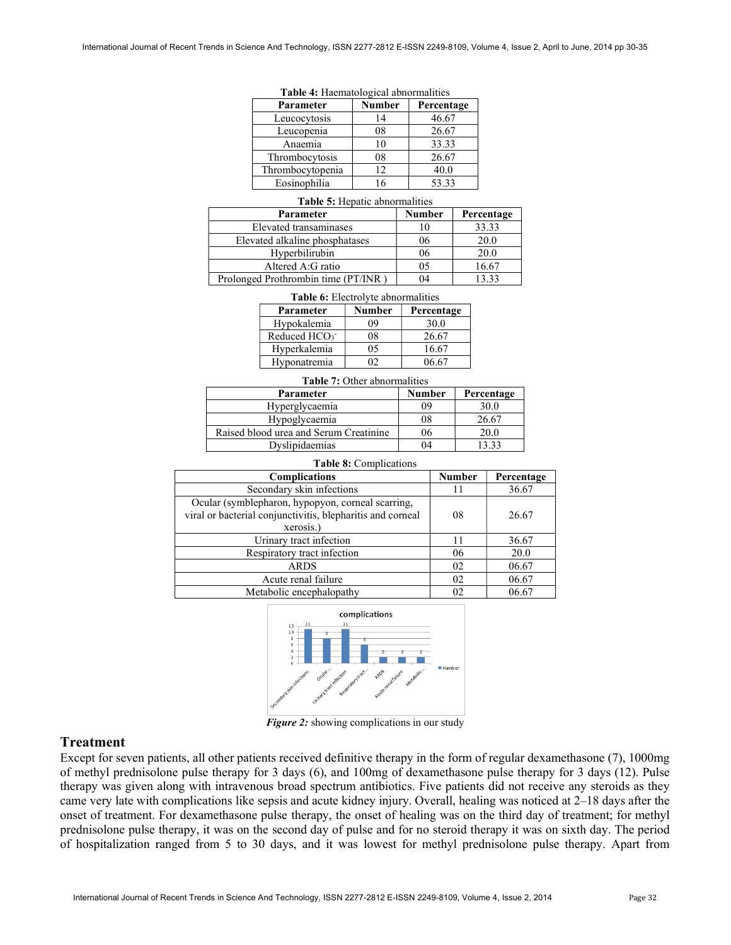| Parameter        | Number | Percentage |
|------------------|--------|------------|
| Leucocytosis     | 14     | 46.67      |
| Leucopenia       | 08     | 26.67      |
| Anaemia          |        | 33.33      |
| Thrombocytosis   | 08     | 26.67      |
| Thrombocytopenia | 12     | 40.0       |
| Eosinophilia     |        | 53.33      |

Table 4: Haematological abnormalities

#### Table 5: Hepatic abnormalities

| Parameter                           | <b>Number</b> | Percentage |
|-------------------------------------|---------------|------------|
| Elevated transaminases              |               | 33.33      |
| Elevated alkaline phosphatases      | 06            | 20.0       |
| Hyperbilirubin                      | 06            | 20.0       |
| Altered A:G ratio                   | 05            | 16.67      |
| Prolonged Prothrombin time (PT/INR) |               | 13 33      |

|  | <b>Table 6:</b> Electrolyte abnormalities |
|--|-------------------------------------------|
|  |                                           |

| Parameter                | Number | Percentage |
|--------------------------|--------|------------|
| Hypokalemia              | 09     | 30.0       |
| Reduced HCO <sub>3</sub> | 98     | 26.67      |
| Hyperkalemia             | 05     | 16.67      |
| Hyponatremia             | מו     | 06.67      |

#### Table 7: Other abnormalities

| <b>Parameter</b>                       | <b>Number</b> | Percentage |
|----------------------------------------|---------------|------------|
| Hyperglycaemia                         | 09            | 30.0       |
| Hypoglycaemia                          | 08            | 26.67      |
| Raised blood urea and Serum Creatinine | 06            | 20.0       |
| Dyslipidaemias                         | 04            | 13.33      |

#### Table 8: Complications

| <b>Complications</b>                                                                                                         | <b>Number</b> | Percentage |
|------------------------------------------------------------------------------------------------------------------------------|---------------|------------|
| Secondary skin infections                                                                                                    | 11            | 36.67      |
| Ocular (symblepharon, hypopyon, corneal scarring,<br>viral or bacterial conjunctivitis, blepharitis and corneal<br>xerosis.) | 08            | 26.67      |
| Urinary tract infection                                                                                                      | 11            | 36.67      |
| Respiratory tract infection                                                                                                  | 06            | 20.0       |
| <b>ARDS</b>                                                                                                                  | 02            | 06.67      |
| Acute renal failure                                                                                                          | 02            | 06.67      |
| Metabolic encephalopathy                                                                                                     |               | 06.67      |



Figure 2: showing complications in our study

## Treatment

Except for seven patients, all other patients received definitive therapy in the form of regular dexamethasone (7), 1000mg of methyl prednisolone pulse therapy for 3 days (6), and 100mg of dexamethasone pulse therapy for 3 days (12). Pulse therapy was given along with intravenous broad spectrum antibiotics. Five patients did not receive any steroids as they came very late with complications like sepsis and acute kidney injury. Overall, healing was noticed at 2–18 days after the onset of treatment. For dexamethasone pulse therapy, the onset of healing was on the third day of treatment; for methyl prednisolone pulse therapy, it was on the second day of pulse and for no steroid therapy it was on sixth day. The period of hospitalization ranged from 5 to 30 days, and it was lowest for methyl prednisolone pulse therapy. Apart from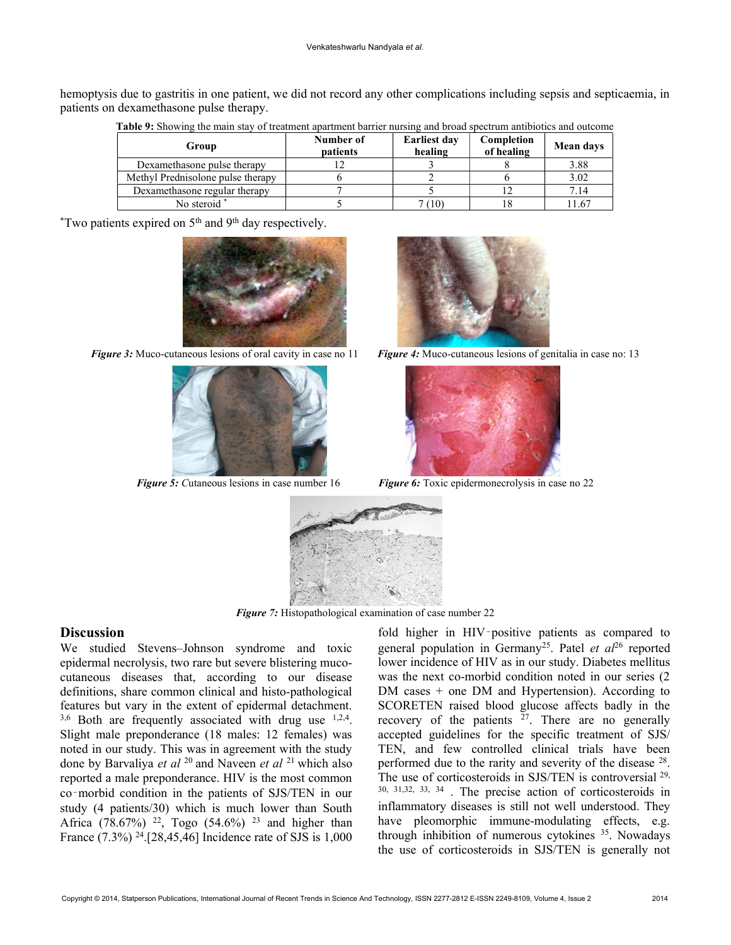hemoptysis due to gastritis in one patient, we did not record any other complications including sepsis and septicaemia, in patients on dexamethasone pulse therapy.

| Group                             | Number of<br><b>patients</b> | <b>Earliest day</b><br>healing | Completion<br>of healing | Mean days |
|-----------------------------------|------------------------------|--------------------------------|--------------------------|-----------|
| Dexamethasone pulse therapy       |                              |                                |                          | 3.88      |
| Methyl Prednisolone pulse therapy |                              |                                |                          | 3.02      |
| Dexamethasone regular therapy     |                              |                                |                          | 7.14      |
| No steroid *                      |                              | (10)                           |                          | 1.67      |

Table 9: Showing the main stay of treatment apartment barrier nursing and broad spectrum antibiotics and outcome

 $*$ Two patients expired on 5<sup>th</sup> and 9<sup>th</sup> day respectively.





Figure 5: Cutaneous lesions in case number 16



Figure 3: Muco-cutaneous lesions of oral cavity in case no  $11$  Figure 4: Muco-cutaneous lesions of genitalia in case no: 13



Figure 6: Toxic epidermonecrolysis in case no 22



Figure 7: Histopathological examination of case number 22

# **Discussion**

We studied Stevens–Johnson syndrome and toxic epidermal necrolysis, two rare but severe blistering mucocutaneous diseases that, according to our disease definitions, share common clinical and histo-pathological features but vary in the extent of epidermal detachment.  $3,6$  Both are frequently associated with drug use  $1,2,4$ . Slight male preponderance (18 males: 12 females) was noted in our study. This was in agreement with the study done by Barvaliya et al  $^{20}$  and Naveen et al  $^{21}$  which also reported a male preponderance. HIV is the most common co‑morbid condition in the patients of SJS/TEN in our study (4 patients/30) which is much lower than South Africa (78.67%) <sup>22</sup>, Togo (54.6%) <sup>23</sup> and higher than France (7.3%) <sup>24</sup>.[28,45,46] Incidence rate of SJS is 1,000

fold higher in HIV-positive patients as compared to general population in Germany<sup>25</sup>. Patel et  $aI<sup>26</sup>$  reported lower incidence of HIV as in our study. Diabetes mellitus was the next co-morbid condition noted in our series (2 DM cases + one DM and Hypertension). According to SCORETEN raised blood glucose affects badly in the recovery of the patients  $27$ . There are no generally accepted guidelines for the specific treatment of SJS/ TEN, and few controlled clinical trials have been performed due to the rarity and severity of the disease <sup>28</sup>. The use of corticosteroids in SJS/TEN is controversial <sup>29,</sup> 30, 31,32, 33, 34 . The precise action of corticosteroids in inflammatory diseases is still not well understood. They have pleomorphic immune-modulating effects, e.g. through inhibition of numerous cytokines <sup>35</sup>. Nowadays the use of corticosteroids in SJS/TEN is generally not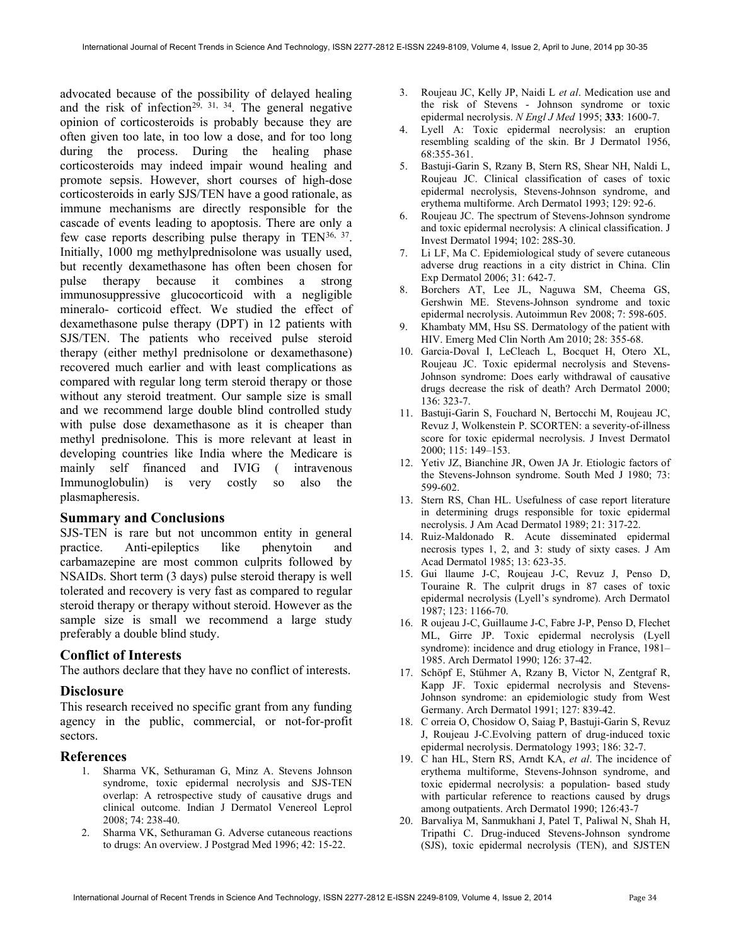advocated because of the possibility of delayed healing and the risk of infection<sup>29, 31, 34</sup>. The general negative opinion of corticosteroids is probably because they are often given too late, in too low a dose, and for too long during the process. During the healing phase corticosteroids may indeed impair wound healing and promote sepsis. However, short courses of high-dose corticosteroids in early SJS/TEN have a good rationale, as immune mechanisms are directly responsible for the cascade of events leading to apoptosis. There are only a few case reports describing pulse therapy in TEN<sup>36, 37</sup>. Initially, 1000 mg methylprednisolone was usually used, but recently dexamethasone has often been chosen for pulse therapy because it combines a strong immunosuppressive glucocorticoid with a negligible mineralo- corticoid effect. We studied the effect of dexamethasone pulse therapy (DPT) in 12 patients with SJS/TEN. The patients who received pulse steroid therapy (either methyl prednisolone or dexamethasone) recovered much earlier and with least complications as compared with regular long term steroid therapy or those without any steroid treatment. Our sample size is small and we recommend large double blind controlled study with pulse dose dexamethasone as it is cheaper than methyl prednisolone. This is more relevant at least in developing countries like India where the Medicare is mainly self financed and IVIG ( intravenous Immunoglobulin) is very costly so also the plasmapheresis.

#### Summary and Conclusions

SJS-TEN is rare but not uncommon entity in general practice. Anti-epileptics like phenytoin and carbamazepine are most common culprits followed by NSAIDs. Short term (3 days) pulse steroid therapy is well tolerated and recovery is very fast as compared to regular steroid therapy or therapy without steroid. However as the sample size is small we recommend a large study preferably a double blind study.

## Conflict of Interests

The authors declare that they have no conflict of interests.

#### **Disclosure**

This research received no specific grant from any funding agency in the public, commercial, or not-for-profit sectors.

### References

- 1. Sharma VK, Sethuraman G, Minz A. Stevens Johnson syndrome, toxic epidermal necrolysis and SJS-TEN overlap: A retrospective study of causative drugs and clinical outcome. Indian J Dermatol Venereol Leprol 2008; 74: 238-40.
- 2. Sharma VK, Sethuraman G. Adverse cutaneous reactions to drugs: An overview. J Postgrad Med 1996; 42: 15-22.
- 3. Roujeau JC, Kelly JP, Naidi L et al. Medication use and the risk of Stevens - Johnson syndrome or toxic epidermal necrolysis. N Engl J Med 1995; 333: 1600-7.
- 4. Lyell A: Toxic epidermal necrolysis: an eruption resembling scalding of the skin. Br J Dermatol 1956, 68:355-361.
- 5. Bastuji-Garin S, Rzany B, Stern RS, Shear NH, Naldi L, Roujeau JC. Clinical classification of cases of toxic epidermal necrolysis, Stevens-Johnson syndrome, and erythema multiforme. Arch Dermatol 1993; 129: 92-6.
- 6. Roujeau JC. The spectrum of Stevens-Johnson syndrome and toxic epidermal necrolysis: A clinical classification. J Invest Dermatol 1994; 102: 28S-30.
- 7. Li LF, Ma C. Epidemiological study of severe cutaneous adverse drug reactions in a city district in China. Clin Exp Dermatol 2006; 31: 642-7.
- 8. Borchers AT, Lee JL, Naguwa SM, Cheema GS, Gershwin ME. Stevens-Johnson syndrome and toxic epidermal necrolysis. Autoimmun Rev 2008; 7: 598-605.
- 9. Khambaty MM, Hsu SS. Dermatology of the patient with HIV. Emerg Med Clin North Am 2010; 28: 355-68.
- 10. Garcia-Doval I, LeCleach L, Bocquet H, Otero XL, Roujeau JC. Toxic epidermal necrolysis and Stevens-Johnson syndrome: Does early withdrawal of causative drugs decrease the risk of death? Arch Dermatol 2000; 136: 323-7.
- 11. Bastuji-Garin S, Fouchard N, Bertocchi M, Roujeau JC, Revuz J, Wolkenstein P. SCORTEN: a severity-of-illness score for toxic epidermal necrolysis. J Invest Dermatol 2000; 115: 149–153.
- 12. Yetiv JZ, Bianchine JR, Owen JA Jr. Etiologic factors of the Stevens-Johnson syndrome. South Med J 1980; 73: 599-602.
- 13. Stern RS, Chan HL. Usefulness of case report literature in determining drugs responsible for toxic epidermal necrolysis. J Am Acad Dermatol 1989; 21: 317-22.
- 14. Ruiz-Maldonado R. Acute disseminated epidermal necrosis types 1, 2, and 3: study of sixty cases. J Am Acad Dermatol 1985; 13: 623-35.
- 15. Gui llaume J-C, Roujeau J-C, Revuz J, Penso D, Touraine R. The culprit drugs in 87 cases of toxic epidermal necrolysis (Lyell's syndrome). Arch Dermatol 1987; 123: 1166-70.
- 16. R oujeau J-C, Guillaume J-C, Fabre J-P, Penso D, Flechet ML, Girre JP. Toxic epidermal necrolysis (Lyell syndrome): incidence and drug etiology in France, 1981– 1985. Arch Dermatol 1990; 126: 37-42.
- 17. Schöpf E, Stühmer A, Rzany B, Victor N, Zentgraf R, Kapp JF. Toxic epidermal necrolysis and Stevens-Johnson syndrome: an epidemiologic study from West Germany. Arch Dermatol 1991; 127: 839-42.
- 18. C orreia O, Chosidow O, Saiag P, Bastuji-Garin S, Revuz J, Roujeau J-C.Evolving pattern of drug-induced toxic epidermal necrolysis. Dermatology 1993; 186: 32-7.
- 19. C han HL, Stern RS, Arndt KA, et al. The incidence of erythema multiforme, Stevens-Johnson syndrome, and toxic epidermal necrolysis: a population- based study with particular reference to reactions caused by drugs among outpatients. Arch Dermatol 1990; 126:43-7
- 20. Barvaliya M, Sanmukhani J, Patel T, Paliwal N, Shah H, Tripathi C. Drug-induced Stevens-Johnson syndrome (SJS), toxic epidermal necrolysis (TEN), and SJSTEN